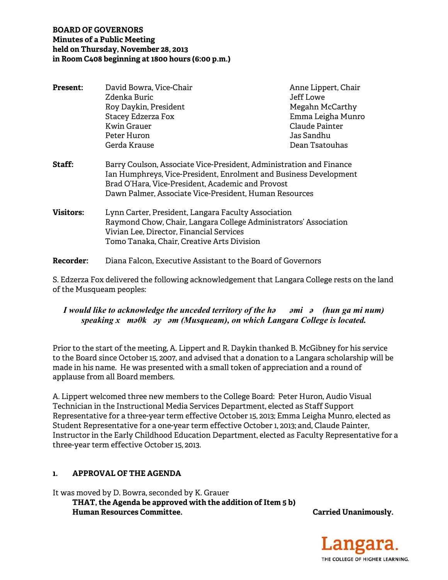### **BOARD OF GOVERNORS Minutes of a Public Meeting held on Thursday, November 28, 2013 in Room C408 beginning at 1800 hours (6:00 p.m.)**

| <b>Present:</b>  | David Bowra, Vice-Chair<br>Zdenka Buric                                                                                                                                                                                                                 |  | Anne Lippert, Chair<br>Jeff Lowe |
|------------------|---------------------------------------------------------------------------------------------------------------------------------------------------------------------------------------------------------------------------------------------------------|--|----------------------------------|
|                  | Roy Daykin, President                                                                                                                                                                                                                                   |  | Megahn McCarthy                  |
|                  | Stacey Edzerza Fox                                                                                                                                                                                                                                      |  | Emma Leigha Munro                |
|                  | Kwin Grauer                                                                                                                                                                                                                                             |  | Claude Painter                   |
|                  | Peter Huron                                                                                                                                                                                                                                             |  | Jas Sandhu                       |
|                  | Gerda Krause                                                                                                                                                                                                                                            |  | Dean Tsatouhas                   |
| Staff:           | Barry Coulson, Associate Vice-President, Administration and Finance<br>Ian Humphreys, Vice-President, Enrolment and Business Development<br>Brad O'Hara, Vice-President, Academic and Provost<br>Dawn Palmer, Associate Vice-President, Human Resources |  |                                  |
| <b>Visitors:</b> | Lynn Carter, President, Langara Faculty Association<br>Raymond Chow, Chair, Langara College Administrators' Association<br>Vivian Lee, Director, Financial Services<br>Tomo Tanaka, Chair, Creative Arts Division                                       |  |                                  |
| <b>Recorder:</b> | Diana Falcon, Executive Assistant to the Board of Governors                                                                                                                                                                                             |  |                                  |

S. Edzerza Fox delivered the following acknowledgement that Langara College rests on the land of the Musqueam peoples:

### *I would like to acknowledge the unceded territory of the həəmiə (hun ga mi num) speaking xməθkəyəm (Musqueam), on which Langara College is located.*

Prior to the start of the meeting, A. Lippert and R. Daykin thanked B. McGibney for his service to the Board since October 15, 2007, and advised that a donation to a Langara scholarship will be made in his name. He was presented with a small token of appreciation and a round of applause from all Board members.

A. Lippert welcomed three new members to the College Board: Peter Huron, Audio Visual Technician in the Instructional Media Services Department, elected as Staff Support Representative for a three-year term effective October 15, 2013; Emma Leigha Munro, elected as Student Representative for a one-year term effective October 1, 2013; and, Claude Painter, Instructor in the Early Childhood Education Department, elected as Faculty Representative for a three-year term effective October 15, 2013.

## **1. APPROVAL OF THE AGENDA**

It was moved by D. Bowra, seconded by K. Grauer  **THAT, the Agenda be approved with the addition of Item 5 b) Human Resources Committee.** Carried Unanimously.

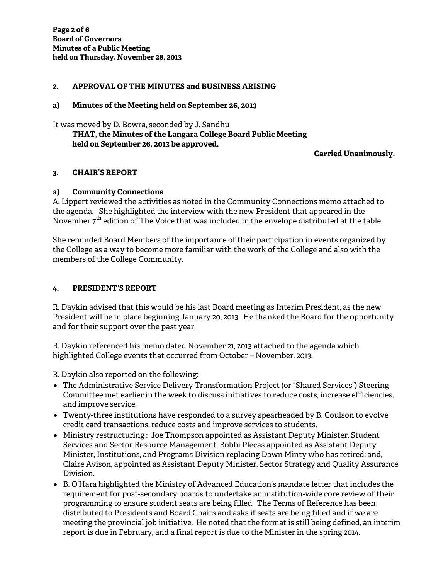#### **2. APPROVAL OF THE MINUTES and BUSINESS ARISING**

#### **a) Minutes of the Meeting held on September 26, 2013**

It was moved by D. Bowra, seconded by J. Sandhu  **THAT, the Minutes of the Langara College Board Public Meeting held on September 26, 2013 be approved.** 

**Carried Unanimously.** 

#### **3. CHAIR'S REPORT**

#### **a) Community Connections**

A. Lippert reviewed the activities as noted in the Community Connections memo attached to the agenda. She highlighted the interview with the new President that appeared in the November 7<sup>th</sup> edition of The Voice that was included in the envelope distributed at the table.

She reminded Board Members of the importance of their participation in events organized by the College as a way to become more familiar with the work of the College and also with the members of the College Community.

#### **4. PRESIDENT'S REPORT**

R. Daykin advised that this would be his last Board meeting as Interim President, as the new President will be in place beginning January 20, 2013. He thanked the Board for the opportunity and for their support over the past year

R. Daykin referenced his memo dated November 21, 2013 attached to the agenda which highlighted College events that occurred from October – November, 2013.

R. Daykin also reported on the following:

- The Administrative Service Delivery Transformation Project (or "Shared Services") Steering Committee met earlier in the week to discuss initiatives to reduce costs, increase efficiencies, and improve service.
- Twenty-three institutions have responded to a survey spearheaded by B. Coulson to evolve credit card transactions, reduce costs and improve services to students.
- Ministry restructuring : Joe Thompson appointed as Assistant Deputy Minister, Student Services and Sector Resource Management; Bobbi Plecas appointed as Assistant Deputy Minister, Institutions, and Programs Division replacing Dawn Minty who has retired; and, Claire Avison, appointed as Assistant Deputy Minister, Sector Strategy and Quality Assurance Division.
- B. O'Hara highlighted the Ministry of Advanced Education's mandate letter that includes the requirement for post-secondary boards to undertake an institution-wide core review of their programming to ensure student seats are being filled. The Terms of Reference has been distributed to Presidents and Board Chairs and asks if seats are being filled and if we are meeting the provincial job initiative. He noted that the format is still being defined, an interim report is due in February, and a final report is due to the Minister in the spring 2014.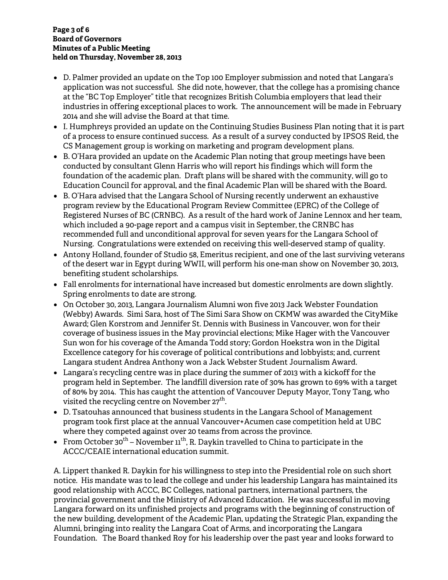#### **Page 3 of 6 Board of Governors Minutes of a Public Meeting held on Thursday, November 28, 2013**

- D. Palmer provided an update on the Top 100 Employer submission and noted that Langara's application was not successful. She did note, however, that the college has a promising chance at the "BC Top Employer" title that recognizes British Columbia employers that lead their industries in offering exceptional places to work. The announcement will be made in February 2014 and she will advise the Board at that time.
- I. Humphreys provided an update on the Continuing Studies Business Plan noting that it is part of a process to ensure continued success. As a result of a survey conducted by IPSOS Reid, the CS Management group is working on marketing and program development plans.
- B. O'Hara provided an update on the Academic Plan noting that group meetings have been conducted by consultant Glenn Harris who will report his findings which will form the foundation of the academic plan. Draft plans will be shared with the community, will go to Education Council for approval, and the final Academic Plan will be shared with the Board.
- B. O'Hara advised that the Langara School of Nursing recently underwent an exhaustive program review by the Educational Program Review Committee (EPRC) of the College of Registered Nurses of BC (CRNBC). As a result of the hard work of Janine Lennox and her team, which included a 90-page report and a campus visit in September, the CRNBC has recommended full and unconditional approval for seven years for the Langara School of Nursing. Congratulations were extended on receiving this well-deserved stamp of quality.
- Antony Holland, founder of Studio 58, Emeritus recipient, and one of the last surviving veterans of the desert war in Egypt during WWII, will perform his one-man show on November 30, 2013, benefiting student scholarships.
- Fall enrolments for international have increased but domestic enrolments are down slightly. Spring enrolments to date are strong.
- On October 30, 2013, Langara Journalism Alumni won five 2013 Jack Webster Foundation (Webby) Awards. Simi Sara, host of The Simi Sara Show on CKMW was awarded the CityMike Award; Glen Korstrom and Jennifer St. Dennis with Business in Vancouver, won for their coverage of business issues in the May provincial elections; Mike Hager with the Vancouver Sun won for his coverage of the Amanda Todd story; Gordon Hoekstra won in the Digital Excellence category for his coverage of political contributions and lobbyists; and, current Langara student Andrea Anthony won a Jack Webster Student Journalism Award.
- Langara's recycling centre was in place during the summer of 2013 with a kickoff for the program held in September. The landfill diversion rate of 30% has grown to 69% with a target of 80% by 2014. This has caught the attention of Vancouver Deputy Mayor, Tony Tang, who visited the recycling centre on November 27<sup>th</sup>.
- D. Tsatouhas announced that business students in the Langara School of Management program took first place at the annual Vancouver+Acumen case competition held at UBC where they competed against over 20 teams from across the province.
- From October 30<sup>th</sup> November  $11^{th}$ , R. Daykin travelled to China to participate in the ACCC/CEAIE international education summit.

A. Lippert thanked R. Daykin for his willingness to step into the Presidential role on such short notice. His mandate was to lead the college and under his leadership Langara has maintained its good relationship with ACCC, BC Colleges, national partners, international partners, the provincial government and the Ministry of Advanced Education. He was successful in moving Langara forward on its unfinished projects and programs with the beginning of construction of the new building, development of the Academic Plan, updating the Strategic Plan, expanding the Alumni, bringing into reality the Langara Coat of Arms, and incorporating the Langara Foundation. The Board thanked Roy for his leadership over the past year and looks forward to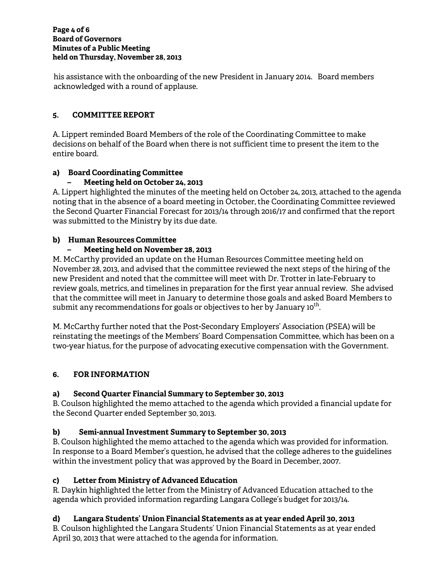his assistance with the onboarding of the new President in January 2014. Board members acknowledged with a round of applause.

### **5. COMMITTEE REPORT**

A. Lippert reminded Board Members of the role of the Coordinating Committee to make decisions on behalf of the Board when there is not sufficient time to present the item to the entire board.

### **a) Board Coordinating Committee**

### **– Meeting held on October 24, 2013**

A. Lippert highlighted the minutes of the meeting held on October 24, 2013, attached to the agenda noting that in the absence of a board meeting in October, the Coordinating Committee reviewed the Second Quarter Financial Forecast for 2013/14 through 2016/17 and confirmed that the report was submitted to the Ministry by its due date.

### **b) Human Resources Committee**

### **– Meeting held on November 28, 2013**

M. McCarthy provided an update on the Human Resources Committee meeting held on November 28, 2013, and advised that the committee reviewed the next steps of the hiring of the new President and noted that the committee will meet with Dr. Trotter in late-February to review goals, metrics, and timelines in preparation for the first year annual review. She advised that the committee will meet in January to determine those goals and asked Board Members to submit any recommendations for goals or objectives to her by January  $10^{\text{th}}$ .

M. McCarthy further noted that the Post-Secondary Employers' Association (PSEA) will be reinstating the meetings of the Members' Board Compensation Committee, which has been on a two-year hiatus, for the purpose of advocating executive compensation with the Government.

## **6. FOR INFORMATION**

#### **a) Second Quarter Financial Summary to September 30, 2013**

B. Coulson highlighted the memo attached to the agenda which provided a financial update for the Second Quarter ended September 30, 2013.

#### **b) Semi-annual Investment Summary to September 30, 2013**

B. Coulson highlighted the memo attached to the agenda which was provided for information. In response to a Board Member's question, he advised that the college adheres to the guidelines within the investment policy that was approved by the Board in December, 2007.

## **c) Letter from Ministry of Advanced Education**

R. Daykin highlighted the letter from the Ministry of Advanced Education attached to the agenda which provided information regarding Langara College's budget for 2013/14.

#### **d) Langara Students' Union Financial Statements as at year ended April 30, 2013**

B. Coulson highlighted the Langara Students' Union Financial Statements as at year ended April 30, 2013 that were attached to the agenda for information.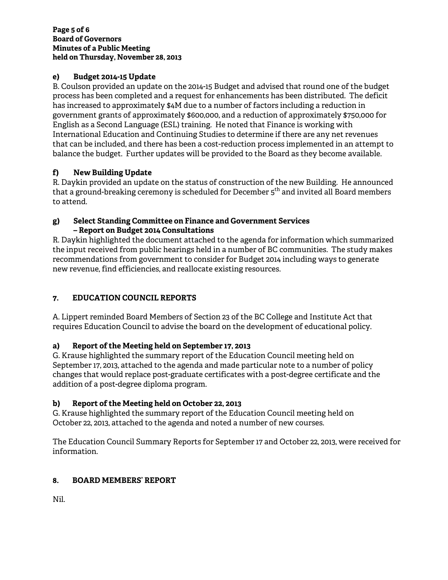#### **Page 5 of 6 Board of Governors Minutes of a Public Meeting held on Thursday, November 28, 2013**

## **e) Budget 2014-15 Update**

B. Coulson provided an update on the 2014-15 Budget and advised that round one of the budget process has been completed and a request for enhancements has been distributed. The deficit has increased to approximately \$4M due to a number of factors including a reduction in government grants of approximately \$600,000, and a reduction of approximately \$750,000 for English as a Second Language (ESL) training. He noted that Finance is working with International Education and Continuing Studies to determine if there are any net revenues that can be included, and there has been a cost-reduction process implemented in an attempt to balance the budget. Further updates will be provided to the Board as they become available.

## **f) New Building Update**

R. Daykin provided an update on the status of construction of the new Building. He announced that a ground-breaking ceremony is scheduled for December 5<sup>th</sup> and invited all Board members to attend.

#### **g) Select Standing Committee on Finance and Government Services – Report on Budget 2014 Consultations**

R. Daykin highlighted the document attached to the agenda for information which summarized the input received from public hearings held in a number of BC communities. The study makes recommendations from government to consider for Budget 2014 including ways to generate new revenue, find efficiencies, and reallocate existing resources.

# **7. EDUCATION COUNCIL REPORTS**

A. Lippert reminded Board Members of Section 23 of the BC College and Institute Act that requires Education Council to advise the board on the development of educational policy.

# **a) Report of the Meeting held on September 17, 2013**

G. Krause highlighted the summary report of the Education Council meeting held on September 17, 2013, attached to the agenda and made particular note to a number of policy changes that would replace post-graduate certificates with a post-degree certificate and the addition of a post-degree diploma program.

# **b) Report of the Meeting held on October 22, 2013**

G. Krause highlighted the summary report of the Education Council meeting held on October 22, 2013, attached to the agenda and noted a number of new courses.

The Education Council Summary Reports for September 17 and October 22, 2013, were received for information.

## **8. BOARD MEMBERS' REPORT**

Nil.